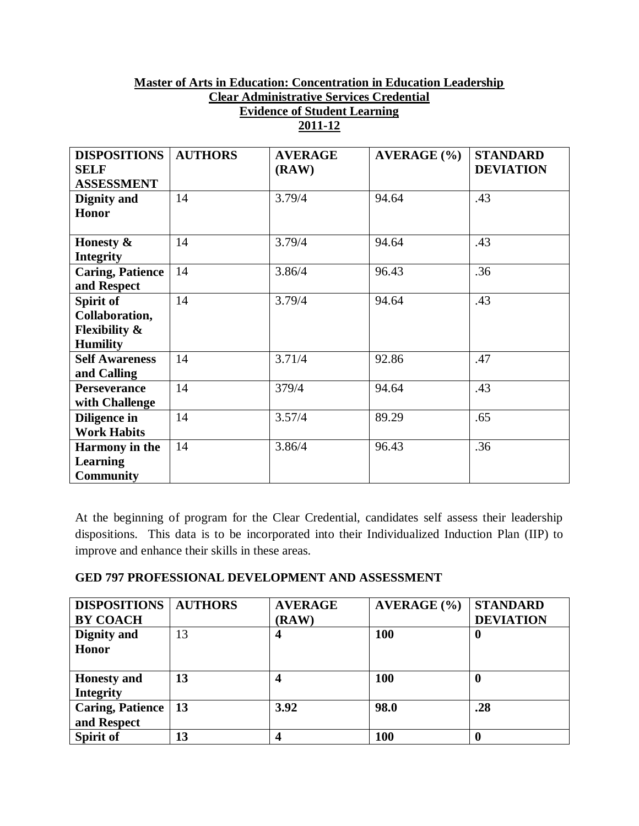## **Master of Arts in Education: Concentration in Education Leadership Clear Administrative Services Credential Evidence of Student Learning 2011-12**

| <b>DISPOSITIONS</b>      | <b>AUTHORS</b> | <b>AVERAGE</b> | <b>AVERAGE</b> (%) | <b>STANDARD</b>  |
|--------------------------|----------------|----------------|--------------------|------------------|
| <b>SELF</b>              |                | (RAW)          |                    | <b>DEVIATION</b> |
| <b>ASSESSMENT</b>        |                |                |                    |                  |
| Dignity and              | 14             | 3.79/4         | 94.64              | .43              |
| <b>Honor</b>             |                |                |                    |                  |
| Honesty &                | 14             | 3.79/4         | 94.64              | .43              |
| <b>Integrity</b>         |                |                |                    |                  |
| <b>Caring, Patience</b>  | 14             | 3.86/4         | 96.43              | .36              |
| and Respect              |                |                |                    |                  |
| Spirit of                | 14             | 3.79/4         | 94.64              | .43              |
| Collaboration,           |                |                |                    |                  |
| <b>Flexibility &amp;</b> |                |                |                    |                  |
| <b>Humility</b>          |                |                |                    |                  |
| <b>Self Awareness</b>    | 14             | 3.71/4         | 92.86              | .47              |
| and Calling              |                |                |                    |                  |
| <b>Perseverance</b>      | 14             | 379/4          | 94.64              | .43              |
| with Challenge           |                |                |                    |                  |
| Diligence in             | 14             | 3.57/4         | 89.29              | .65              |
| <b>Work Habits</b>       |                |                |                    |                  |
| <b>Harmony</b> in the    | 14             | 3.86/4         | 96.43              | .36              |
| <b>Learning</b>          |                |                |                    |                  |
| <b>Community</b>         |                |                |                    |                  |

At the beginning of program for the Clear Credential, candidates self assess their leadership dispositions. This data is to be incorporated into their Individualized Induction Plan (IIP) to improve and enhance their skills in these areas.

## **GED 797 PROFESSIONAL DEVELOPMENT AND ASSESSMENT**

| <b>DISPOSITIONS</b>   | <b>AUTHORS</b> | <b>AVERAGE</b> | AVERAGE (%) | <b>STANDARD</b>  |
|-----------------------|----------------|----------------|-------------|------------------|
| <b>BY COACH</b>       |                | (RAW)          |             | <b>DEVIATION</b> |
| Dignity and           | 13             | 4              | <b>100</b>  | 0                |
| <b>Honor</b>          |                |                |             |                  |
|                       |                |                |             |                  |
| <b>Honesty and</b>    | 13             | 4              | <b>100</b>  | 0                |
| <b>Integrity</b>      |                |                |             |                  |
| Caring, Patience   13 |                | 3.92           | 98.0        | .28              |
| and Respect           |                |                |             |                  |
| Spirit of             | 13             |                | <b>100</b>  |                  |